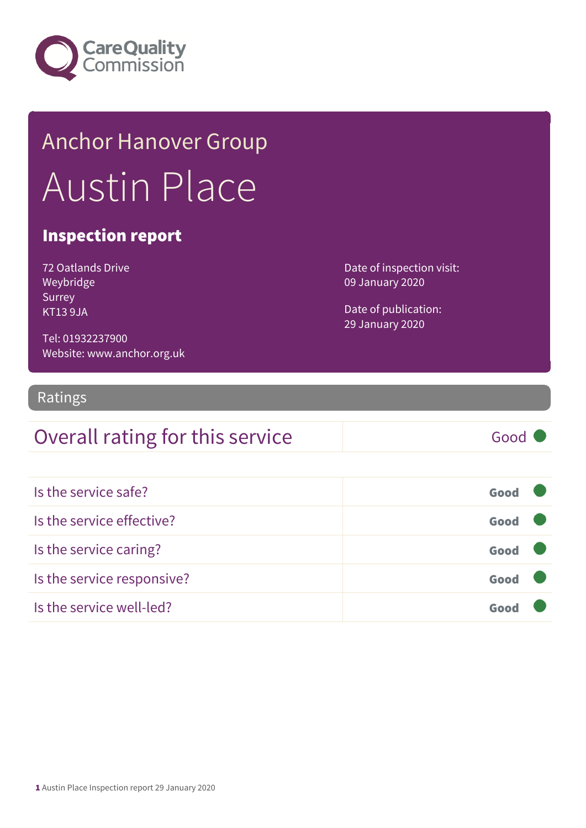

## Anchor Hanover Group Austin Place

#### Inspection report

| <b>72 Oatlands Drive</b> |
|--------------------------|
| Weybridge                |
| Surrey                   |
| KT13 9JA                 |

Date of inspection visit: 09 January 2020

Date of publication: 29 January 2020

Tel: 01932237900 Website: www.anchor.org.uk

#### Ratings

### Overall rating for this service Good

| Is the service safe?       | Good |
|----------------------------|------|
| Is the service effective?  | Good |
| Is the service caring?     | Good |
| Is the service responsive? | Good |
| Is the service well-led?   | Goo  |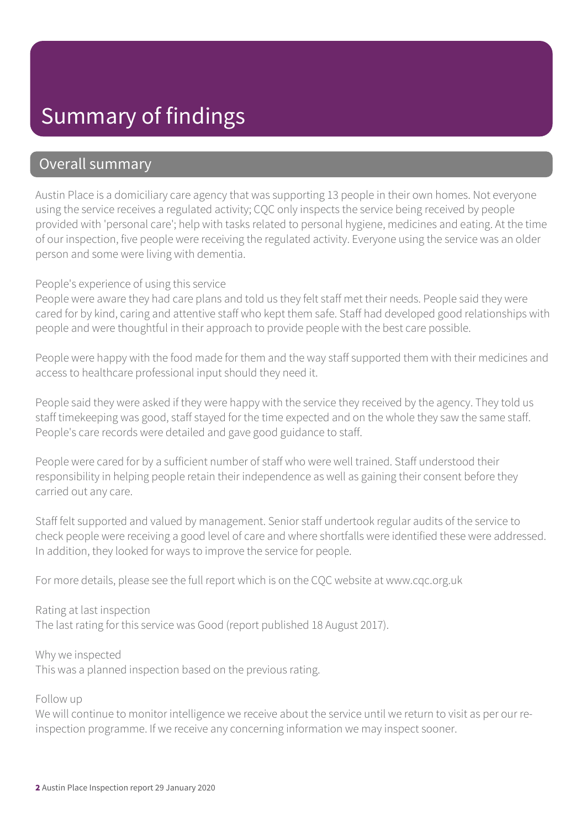### Summary of findings

#### Overall summary

Austin Place is a domiciliary care agency that was supporting 13 people in their own homes. Not everyone using the service receives a regulated activity; CQC only inspects the service being received by people provided with 'personal care'; help with tasks related to personal hygiene, medicines and eating. At the time of our inspection, five people were receiving the regulated activity. Everyone using the service was an older person and some were living with dementia.

#### People's experience of using this service

People were aware they had care plans and told us they felt staff met their needs. People said they were cared for by kind, caring and attentive staff who kept them safe. Staff had developed good relationships with people and were thoughtful in their approach to provide people with the best care possible.

People were happy with the food made for them and the way staff supported them with their medicines and access to healthcare professional input should they need it.

People said they were asked if they were happy with the service they received by the agency. They told us staff timekeeping was good, staff stayed for the time expected and on the whole they saw the same staff. People's care records were detailed and gave good guidance to staff.

People were cared for by a sufficient number of staff who were well trained. Staff understood their responsibility in helping people retain their independence as well as gaining their consent before they carried out any care.

Staff felt supported and valued by management. Senior staff undertook regular audits of the service to check people were receiving a good level of care and where shortfalls were identified these were addressed. In addition, they looked for ways to improve the service for people.

For more details, please see the full report which is on the CQC website at www.cqc.org.uk

#### Rating at last inspection

The last rating for this service was Good (report published 18 August 2017).

Why we inspected This was a planned inspection based on the previous rating.

#### Follow up

We will continue to monitor intelligence we receive about the service until we return to visit as per our reinspection programme. If we receive any concerning information we may inspect sooner.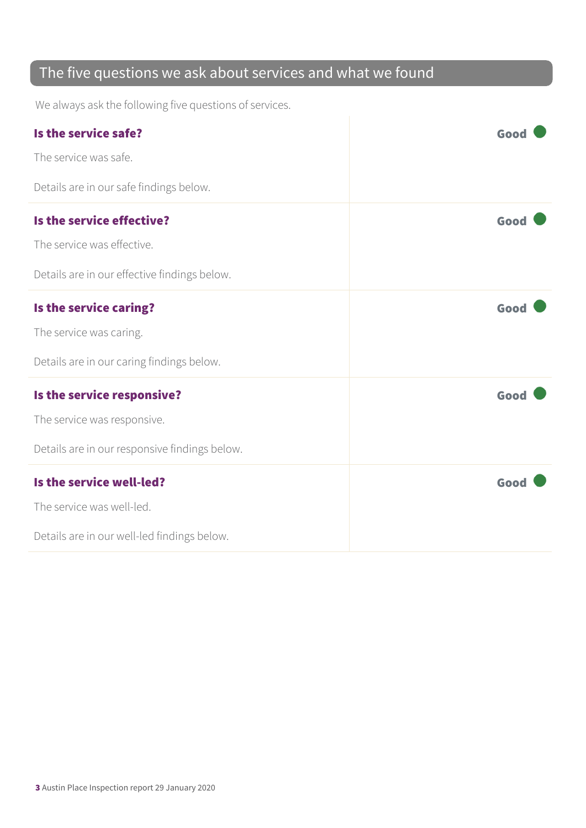### The five questions we ask about services and what we found

We always ask the following five questions of services.

| Is the service safe?                          | Good |
|-----------------------------------------------|------|
| The service was safe.                         |      |
| Details are in our safe findings below.       |      |
| Is the service effective?                     | Good |
| The service was effective.                    |      |
| Details are in our effective findings below.  |      |
| Is the service caring?                        | Good |
| The service was caring.                       |      |
| Details are in our caring findings below.     |      |
| Is the service responsive?                    | Good |
| The service was responsive.                   |      |
| Details are in our responsive findings below. |      |
| Is the service well-led?                      | Good |
| The service was well-led.                     |      |
| Details are in our well-led findings below.   |      |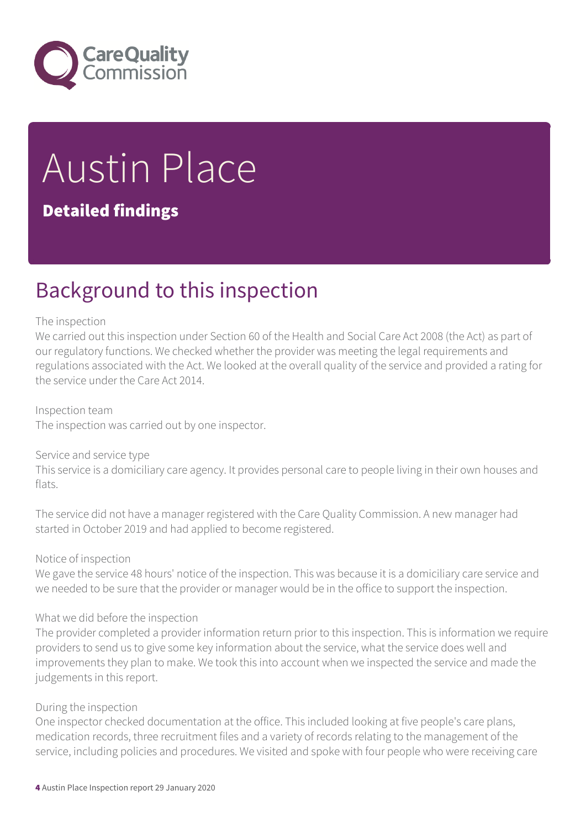

# Austin Place

#### Detailed findings

### Background to this inspection

#### The inspection

We carried out this inspection under Section 60 of the Health and Social Care Act 2008 (the Act) as part of our regulatory functions. We checked whether the provider was meeting the legal requirements and regulations associated with the Act. We looked at the overall quality of the service and provided a rating for the service under the Care Act 2014.

Inspection team The inspection was carried out by one inspector.

#### Service and service type

This service is a domiciliary care agency. It provides personal care to people living in their own houses and flats.

The service did not have a manager registered with the Care Quality Commission. A new manager had started in October 2019 and had applied to become registered.

#### Notice of inspection

We gave the service 48 hours' notice of the inspection. This was because it is a domiciliary care service and we needed to be sure that the provider or manager would be in the office to support the inspection.

#### What we did before the inspection

The provider completed a provider information return prior to this inspection. This is information we require providers to send us to give some key information about the service, what the service does well and improvements they plan to make. We took this into account when we inspected the service and made the judgements in this report.

#### During the inspection

One inspector checked documentation at the office. This included looking at five people's care plans, medication records, three recruitment files and a variety of records relating to the management of the service, including policies and procedures. We visited and spoke with four people who were receiving care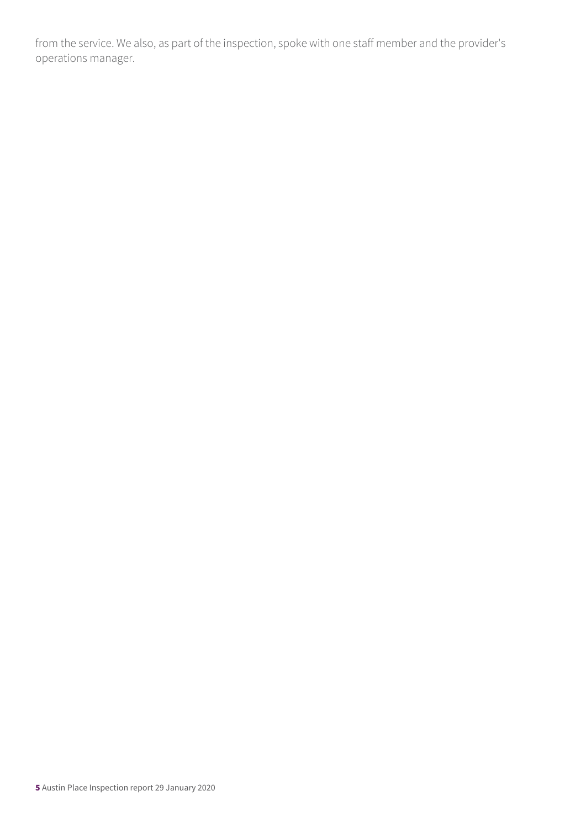from the service. We also, as part of the inspection, spoke with one staff member and the provider's operations manager.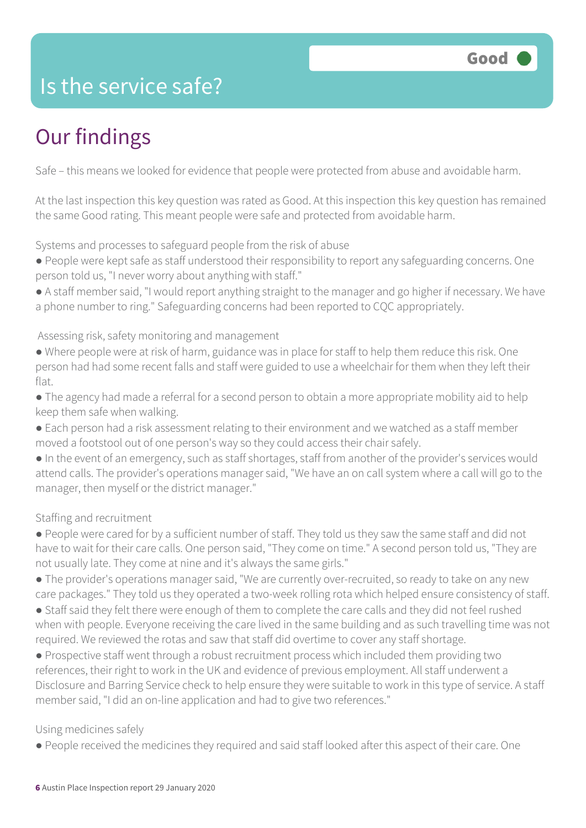### Is the service safe?

### Our findings

Safe – this means we looked for evidence that people were protected from abuse and avoidable harm.

At the last inspection this key question was rated as Good. At this inspection this key question has remained the same Good rating. This meant people were safe and protected from avoidable harm.

Systems and processes to safeguard people from the risk of abuse

- People were kept safe as staff understood their responsibility to report any safeguarding concerns. One person told us, "I never worry about anything with staff."
- A staff member said, "I would report anything straight to the manager and go higher if necessary. We have a phone number to ring." Safeguarding concerns had been reported to CQC appropriately.

Assessing risk, safety monitoring and management

- Where people were at risk of harm, guidance was in place for staff to help them reduce this risk. One person had had some recent falls and staff were guided to use a wheelchair for them when they left their flat.
- The agency had made a referral for a second person to obtain a more appropriate mobility aid to help keep them safe when walking.
- Each person had a risk assessment relating to their environment and we watched as a staff member moved a footstool out of one person's way so they could access their chair safely.
- In the event of an emergency, such as staff shortages, staff from another of the provider's services would attend calls. The provider's operations manager said, "We have an on call system where a call will go to the manager, then myself or the district manager."

Staffing and recruitment

- People were cared for by a sufficient number of staff. They told us they saw the same staff and did not have to wait for their care calls. One person said, "They come on time." A second person told us, "They are not usually late. They come at nine and it's always the same girls."
- The provider's operations manager said, "We are currently over-recruited, so ready to take on any new care packages." They told us they operated a two-week rolling rota which helped ensure consistency of staff.
- Staff said they felt there were enough of them to complete the care calls and they did not feel rushed when with people. Everyone receiving the care lived in the same building and as such travelling time was not required. We reviewed the rotas and saw that staff did overtime to cover any staff shortage.
- Prospective staff went through a robust recruitment process which included them providing two references, their right to work in the UK and evidence of previous employment. All staff underwent a Disclosure and Barring Service check to help ensure they were suitable to work in this type of service. A staff member said, "I did an on-line application and had to give two references."

#### Using medicines safely

● People received the medicines they required and said staff looked after this aspect of their care. One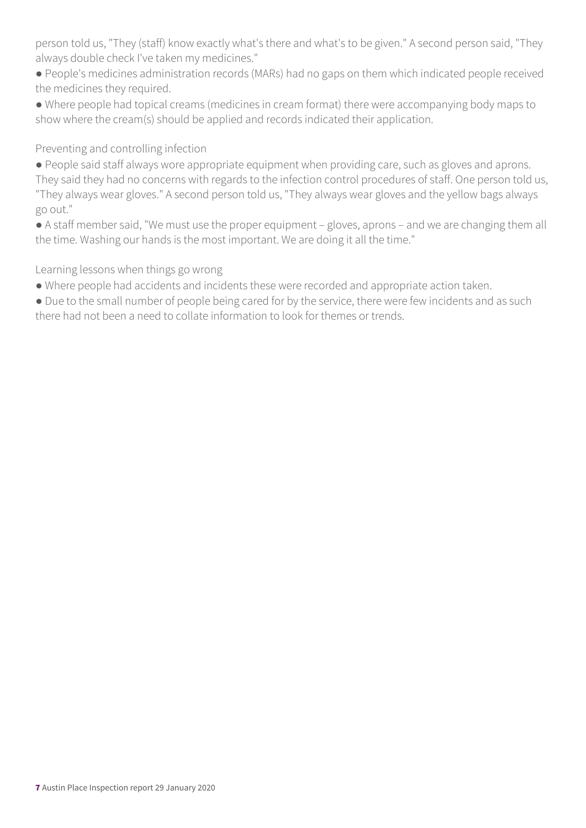person told us, "They (staff) know exactly what's there and what's to be given." A second person said, "They always double check I've taken my medicines."

● People's medicines administration records (MARs) had no gaps on them which indicated people received the medicines they required.

● Where people had topical creams (medicines in cream format) there were accompanying body maps to show where the cream(s) should be applied and records indicated their application.

#### Preventing and controlling infection

● People said staff always wore appropriate equipment when providing care, such as gloves and aprons. They said they had no concerns with regards to the infection control procedures of staff. One person told us, "They always wear gloves." A second person told us, "They always wear gloves and the yellow bags always go out."

● A staff member said, "We must use the proper equipment – gloves, aprons – and we are changing them all the time. Washing our hands is the most important. We are doing it all the time."

Learning lessons when things go wrong

- Where people had accidents and incidents these were recorded and appropriate action taken.
- Due to the small number of people being cared for by the service, there were few incidents and as such there had not been a need to collate information to look for themes or trends.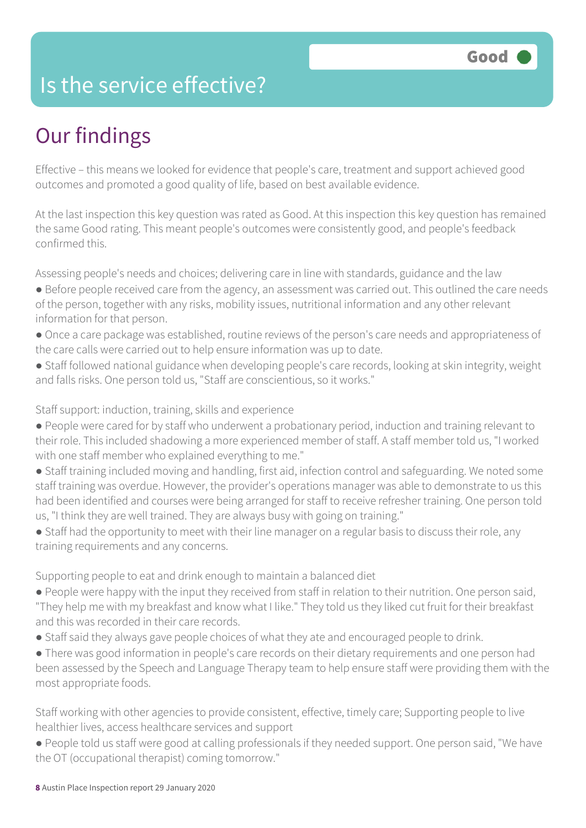### Is the service effective?

### Our findings

Effective – this means we looked for evidence that people's care, treatment and support achieved good outcomes and promoted a good quality of life, based on best available evidence.

At the last inspection this key question was rated as Good. At this inspection this key question has remained the same Good rating. This meant people's outcomes were consistently good, and people's feedback confirmed this.

Assessing people's needs and choices; delivering care in line with standards, guidance and the law

- Before people received care from the agency, an assessment was carried out. This outlined the care needs of the person, together with any risks, mobility issues, nutritional information and any other relevant information for that person.
- Once a care package was established, routine reviews of the person's care needs and appropriateness of the care calls were carried out to help ensure information was up to date.
- Staff followed national guidance when developing people's care records, looking at skin integrity, weight and falls risks. One person told us, "Staff are conscientious, so it works."

Staff support: induction, training, skills and experience

- People were cared for by staff who underwent a probationary period, induction and training relevant to their role. This included shadowing a more experienced member of staff. A staff member told us, "I worked with one staff member who explained everything to me."
- Staff training included moving and handling, first aid, infection control and safeguarding. We noted some staff training was overdue. However, the provider's operations manager was able to demonstrate to us this had been identified and courses were being arranged for staff to receive refresher training. One person told us, "I think they are well trained. They are always busy with going on training."
- Staff had the opportunity to meet with their line manager on a regular basis to discuss their role, any training requirements and any concerns.

Supporting people to eat and drink enough to maintain a balanced diet

- People were happy with the input they received from staff in relation to their nutrition. One person said, "They help me with my breakfast and know what I like." They told us they liked cut fruit for their breakfast and this was recorded in their care records.
- Staff said they always gave people choices of what they ate and encouraged people to drink.
- There was good information in people's care records on their dietary requirements and one person had been assessed by the Speech and Language Therapy team to help ensure staff were providing them with the most appropriate foods.

Staff working with other agencies to provide consistent, effective, timely care; Supporting people to live healthier lives, access healthcare services and support

● People told us staff were good at calling professionals if they needed support. One person said, "We have the OT (occupational therapist) coming tomorrow."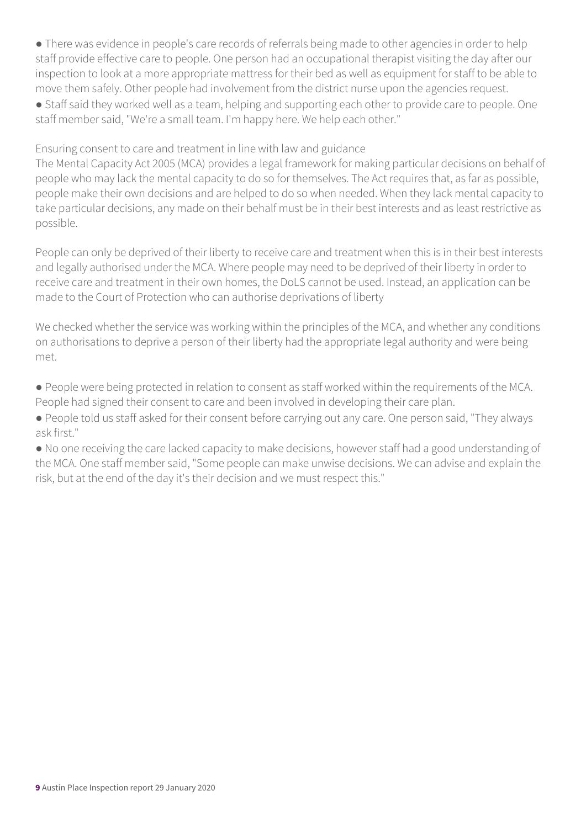• There was evidence in people's care records of referrals being made to other agencies in order to help staff provide effective care to people. One person had an occupational therapist visiting the day after our inspection to look at a more appropriate mattress for their bed as well as equipment for staff to be able to move them safely. Other people had involvement from the district nurse upon the agencies request.

● Staff said they worked well as a team, helping and supporting each other to provide care to people. One staff member said, "We're a small team. I'm happy here. We help each other."

Ensuring consent to care and treatment in line with law and guidance

The Mental Capacity Act 2005 (MCA) provides a legal framework for making particular decisions on behalf of people who may lack the mental capacity to do so for themselves. The Act requires that, as far as possible, people make their own decisions and are helped to do so when needed. When they lack mental capacity to take particular decisions, any made on their behalf must be in their best interests and as least restrictive as possible.

People can only be deprived of their liberty to receive care and treatment when this is in their best interests and legally authorised under the MCA. Where people may need to be deprived of their liberty in order to receive care and treatment in their own homes, the DoLS cannot be used. Instead, an application can be made to the Court of Protection who can authorise deprivations of liberty

We checked whether the service was working within the principles of the MCA, and whether any conditions on authorisations to deprive a person of their liberty had the appropriate legal authority and were being met.

● People were being protected in relation to consent as staff worked within the requirements of the MCA. People had signed their consent to care and been involved in developing their care plan.

● People told us staff asked for their consent before carrying out any care. One person said, "They always ask first."

● No one receiving the care lacked capacity to make decisions, however staff had a good understanding of the MCA. One staff member said, "Some people can make unwise decisions. We can advise and explain the risk, but at the end of the day it's their decision and we must respect this."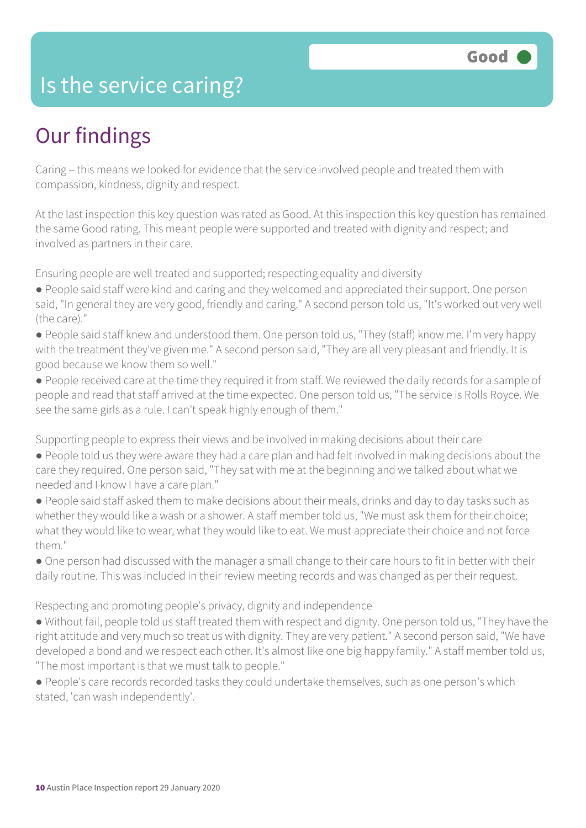### Is the service caring?

### Our findings

Caring – this means we looked for evidence that the service involved people and treated them with compassion, kindness, dignity and respect.

At the last inspection this key question was rated as Good. At this inspection this key question has remained the same Good rating. This meant people were supported and treated with dignity and respect; and involved as partners in their care.

Ensuring people are well treated and supported; respecting equality and diversity

- People said staff were kind and caring and they welcomed and appreciated their support. One person said, "In general they are very good, friendly and caring." A second person told us, "It's worked out very well (the care)."
- People said staff knew and understood them. One person told us, "They (staff) know me. I'm very happy with the treatment they've given me." A second person said, "They are all very pleasant and friendly. It is good because we know them so well."
- People received care at the time they required it from staff. We reviewed the daily records for a sample of people and read that staff arrived at the time expected. One person told us, "The service is Rolls Royce. We see the same girls as a rule. I can't speak highly enough of them."

Supporting people to express their views and be involved in making decisions about their care

- People told us they were aware they had a care plan and had felt involved in making decisions about the care they required. One person said, "They sat with me at the beginning and we talked about what we needed and I know I have a care plan."
- People said staff asked them to make decisions about their meals, drinks and day to day tasks such as whether they would like a wash or a shower. A staff member told us, "We must ask them for their choice; what they would like to wear, what they would like to eat. We must appreciate their choice and not force them."
- One person had discussed with the manager a small change to their care hours to fit in better with their daily routine. This was included in their review meeting records and was changed as per their request.

Respecting and promoting people's privacy, dignity and independence

- Without fail, people told us staff treated them with respect and dignity. One person told us, "They have the right attitude and very much so treat us with dignity. They are very patient." A second person said, "We have developed a bond and we respect each other. It's almost like one big happy family." A staff member told us, "The most important is that we must talk to people."
- People's care records recorded tasks they could undertake themselves, such as one person's which stated, 'can wash independently'.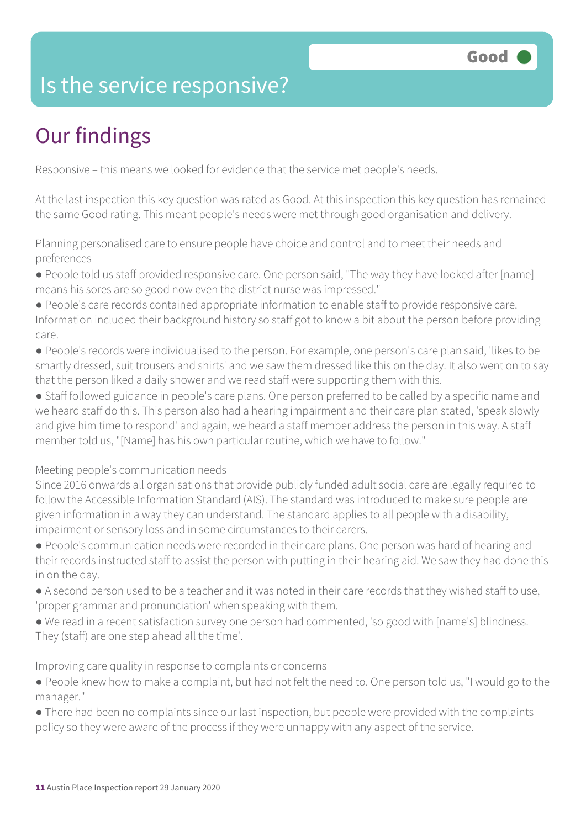### Is the service responsive?

### Our findings

Responsive – this means we looked for evidence that the service met people's needs.

At the last inspection this key question was rated as Good. At this inspection this key question has remained the same Good rating. This meant people's needs were met through good organisation and delivery.

Planning personalised care to ensure people have choice and control and to meet their needs and preferences

- People told us staff provided responsive care. One person said, "The way they have looked after [name] means his sores are so good now even the district nurse was impressed."
- People's care records contained appropriate information to enable staff to provide responsive care. Information included their background history so staff got to know a bit about the person before providing care.
- People's records were individualised to the person. For example, one person's care plan said, 'likes to be smartly dressed, suit trousers and shirts' and we saw them dressed like this on the day. It also went on to say that the person liked a daily shower and we read staff were supporting them with this.
- Staff followed guidance in people's care plans. One person preferred to be called by a specific name and we heard staff do this. This person also had a hearing impairment and their care plan stated, 'speak slowly and give him time to respond' and again, we heard a staff member address the person in this way. A staff member told us, "[Name] has his own particular routine, which we have to follow."

#### Meeting people's communication needs

Since 2016 onwards all organisations that provide publicly funded adult social care are legally required to follow the Accessible Information Standard (AIS). The standard was introduced to make sure people are given information in a way they can understand. The standard applies to all people with a disability, impairment or sensory loss and in some circumstances to their carers.

- People's communication needs were recorded in their care plans. One person was hard of hearing and their records instructed staff to assist the person with putting in their hearing aid. We saw they had done this in on the day.
- A second person used to be a teacher and it was noted in their care records that they wished staff to use, 'proper grammar and pronunciation' when speaking with them.
- We read in a recent satisfaction survey one person had commented, 'so good with [name's] blindness. They (staff) are one step ahead all the time'.

Improving care quality in response to complaints or concerns

- People knew how to make a complaint, but had not felt the need to. One person told us, "I would go to the manager."
- There had been no complaints since our last inspection, but people were provided with the complaints policy so they were aware of the process if they were unhappy with any aspect of the service.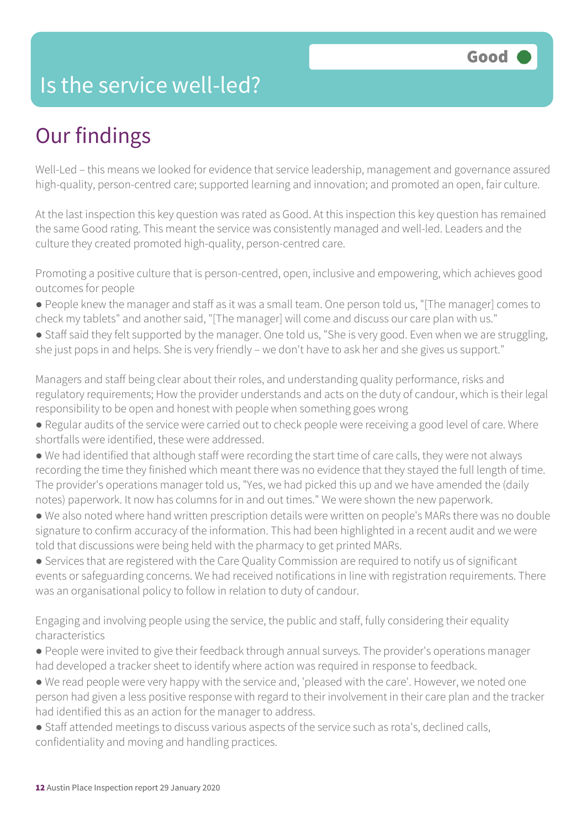### Is the service well-led?

### Our findings

Well-Led – this means we looked for evidence that service leadership, management and governance assured high-quality, person-centred care; supported learning and innovation; and promoted an open, fair culture.

At the last inspection this key question was rated as Good. At this inspection this key question has remained the same Good rating. This meant the service was consistently managed and well-led. Leaders and the culture they created promoted high-quality, person-centred care.

Promoting a positive culture that is person-centred, open, inclusive and empowering, which achieves good outcomes for people

- People knew the manager and staff as it was a small team. One person told us, "[The manager] comes to check my tablets" and another said, "[The manager] will come and discuss our care plan with us."
- Staff said they felt supported by the manager. One told us, "She is very good. Even when we are struggling, she just pops in and helps. She is very friendly – we don't have to ask her and she gives us support."

Managers and staff being clear about their roles, and understanding quality performance, risks and regulatory requirements; How the provider understands and acts on the duty of candour, which is their legal responsibility to be open and honest with people when something goes wrong

- Regular audits of the service were carried out to check people were receiving a good level of care. Where shortfalls were identified, these were addressed.
- We had identified that although staff were recording the start time of care calls, they were not always recording the time they finished which meant there was no evidence that they stayed the full length of time. The provider's operations manager told us, "Yes, we had picked this up and we have amended the (daily notes) paperwork. It now has columns for in and out times." We were shown the new paperwork.
- We also noted where hand written prescription details were written on people's MARs there was no double signature to confirm accuracy of the information. This had been highlighted in a recent audit and we were told that discussions were being held with the pharmacy to get printed MARs.
- Services that are registered with the Care Quality Commission are required to notify us of significant events or safeguarding concerns. We had received notifications in line with registration requirements. There was an organisational policy to follow in relation to duty of candour.

Engaging and involving people using the service, the public and staff, fully considering their equality characteristics

- People were invited to give their feedback through annual surveys. The provider's operations manager had developed a tracker sheet to identify where action was required in response to feedback.
- We read people were very happy with the service and, 'pleased with the care'. However, we noted one person had given a less positive response with regard to their involvement in their care plan and the tracker had identified this as an action for the manager to address.
- Staff attended meetings to discuss various aspects of the service such as rota's, declined calls, confidentiality and moving and handling practices.